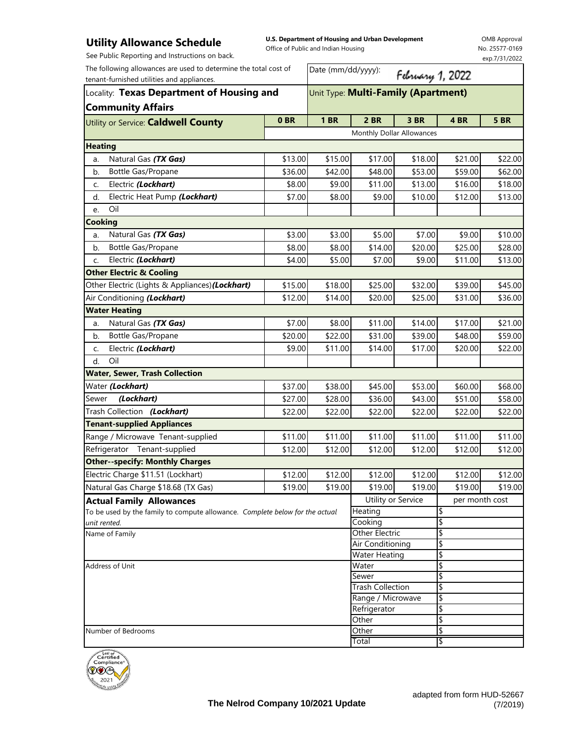## **Utility Allowance Schedule**

**U.S. Department of Housing and Urban Development**  Office of Public and Indian Housing

OMB Approval No. 25577-0169 exp.7/31/2022

| See Public Reporting and Instructions on back.                               |                 |                                     |                                           |                    |          | exp.7/31/2022  |  |
|------------------------------------------------------------------------------|-----------------|-------------------------------------|-------------------------------------------|--------------------|----------|----------------|--|
| The following allowances are used to determine the total cost of             |                 | Date (mm/dd/yyyy):                  |                                           | February 1, 2022   |          |                |  |
| tenant-furnished utilities and appliances.                                   |                 |                                     |                                           |                    |          |                |  |
| Locality: Texas Department of Housing and<br><b>Community Affairs</b>        |                 | Unit Type: Multi-Family (Apartment) |                                           |                    |          |                |  |
| Utility or Service: Caldwell County                                          | 0 <sub>BR</sub> | <b>1 BR</b>                         | <b>2 BR</b>                               | <b>3 BR</b>        | 4 BR     | <b>5 BR</b>    |  |
|                                                                              |                 |                                     | Monthly Dollar Allowances                 |                    |          |                |  |
| <b>Heating</b>                                                               |                 |                                     |                                           |                    |          |                |  |
| Natural Gas (TX Gas)<br>a.                                                   | \$13.00         | \$15.00                             | \$17.00                                   | \$18.00            | \$21.00  | \$22.00        |  |
| Bottle Gas/Propane<br>b.                                                     | \$36.00         | \$42.00                             | \$48.00                                   | \$53.00            | \$59.00  | \$62.00        |  |
| Electric (Lockhart)<br>C.                                                    | \$8.00          | \$9.00                              | \$11.00                                   | \$13.00            | \$16.00  | \$18.00        |  |
| Electric Heat Pump (Lockhart)<br>d.                                          | \$7.00          | \$8.00                              | \$9.00                                    | \$10.00            | \$12.00  | \$13.00        |  |
| Oil<br>e.                                                                    |                 |                                     |                                           |                    |          |                |  |
| <b>Cooking</b>                                                               |                 |                                     |                                           |                    |          |                |  |
| Natural Gas (TX Gas)<br>a.                                                   | \$3.00          | \$3.00                              | \$5.00                                    | \$7.00             | \$9.00   | \$10.00        |  |
| <b>Bottle Gas/Propane</b><br>b.                                              | \$8.00          | \$8.00                              | \$14.00                                   | \$20.00            | \$25.00  | \$28.00        |  |
| Electric (Lockhart)<br>c.                                                    | \$4.00          | \$5.00                              | \$7.00                                    | \$9.00             | \$11.00  | \$13.00        |  |
| <b>Other Electric &amp; Cooling</b>                                          |                 |                                     |                                           |                    |          |                |  |
| Other Electric (Lights & Appliances) (Lockhart)                              | \$15.00         | \$18.00                             | \$25.00                                   | \$32.00            | \$39.00  | \$45.00        |  |
| Air Conditioning (Lockhart)                                                  | \$12.00         | \$14.00                             | \$20.00                                   | \$25.00            | \$31.00  | \$36.00        |  |
| <b>Water Heating</b>                                                         |                 |                                     |                                           |                    |          |                |  |
| Natural Gas (TX Gas)<br>a.                                                   | \$7.00          | \$8.00                              | \$11.00                                   | \$14.00            | \$17.00  | \$21.00        |  |
| Bottle Gas/Propane<br>b.                                                     | \$20.00         | \$22.00                             | \$31.00                                   | \$39.00            | \$48.00  | \$59.00        |  |
| Electric (Lockhart)<br>C.                                                    | \$9.00          | \$11.00                             | \$14.00                                   | \$17.00            | \$20.00  | \$22.00        |  |
| Oil<br>d.                                                                    |                 |                                     |                                           |                    |          |                |  |
| <b>Water, Sewer, Trash Collection</b>                                        |                 |                                     |                                           |                    |          |                |  |
| Water (Lockhart)                                                             | \$37.00         | \$38.00                             | \$45.00                                   | \$53.00            | \$60.00  | \$68.00        |  |
| (Lockhart)<br>Sewer                                                          | \$27.00         | \$28.00                             | \$36.00                                   | \$43.00            | \$51.00  | \$58.00        |  |
| Trash Collection (Lockhart)                                                  | \$22.00         | \$22.00                             | \$22.00                                   | \$22.00            | \$22.00  | \$22.00        |  |
| <b>Tenant-supplied Appliances</b>                                            |                 |                                     |                                           |                    |          |                |  |
| Range / Microwave Tenant-supplied                                            | \$11.00         | \$11.00                             | \$11.00                                   | \$11.00            | \$11.00  | \$11.00        |  |
| Refrigerator Tenant-supplied                                                 | \$12.00         | \$12.00                             | \$12.00                                   | \$12.00            | \$12.00  | \$12.00        |  |
| <b>Other--specify: Monthly Charges</b>                                       |                 |                                     |                                           |                    |          |                |  |
| Electric Charge \$11.51 (Lockhart)                                           | \$12.00         | \$12.00                             | \$12.00                                   | \$12.00            | \$12.00  | \$12.00        |  |
| Natural Gas Charge \$18.68 (TX Gas)                                          | \$19.00         | \$19.00                             | \$19.00                                   | \$19.00            | \$19.00  | \$19.00        |  |
| <b>Actual Family Allowances</b>                                              |                 |                                     |                                           | Utility or Service |          | per month cost |  |
| To be used by the family to compute allowance. Complete below for the actual |                 |                                     | Heating                                   |                    | \$       |                |  |
| unit rented.                                                                 |                 |                                     | Cooking                                   |                    | \$       |                |  |
| Name of Family                                                               |                 |                                     | <b>Other Electric</b><br>Air Conditioning |                    | \$<br>\$ |                |  |
|                                                                              |                 |                                     | <b>Water Heating</b>                      |                    | \$       |                |  |
| Address of Unit                                                              |                 |                                     | Water                                     |                    | \$       |                |  |
|                                                                              |                 |                                     | Sewer                                     |                    | \$       |                |  |
|                                                                              |                 |                                     | <b>Trash Collection</b>                   |                    | \$       |                |  |
|                                                                              |                 |                                     | Range / Microwave                         |                    | \$       |                |  |
|                                                                              |                 |                                     | Refrigerator<br>Other                     |                    | \$<br>\$ |                |  |
| Number of Bedrooms                                                           |                 | Other                               |                                           | \$                 |          |                |  |
|                                                                              |                 |                                     | Total                                     |                    | \$       |                |  |
|                                                                              |                 |                                     |                                           |                    |          |                |  |